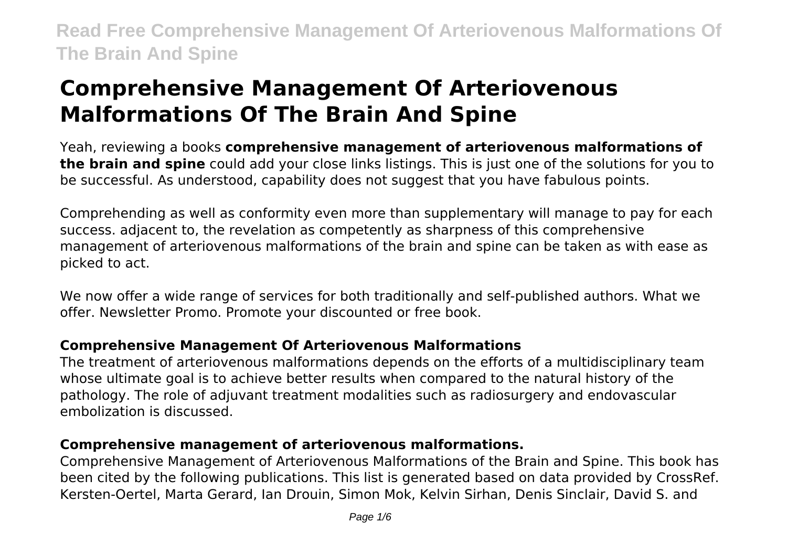# **Comprehensive Management Of Arteriovenous Malformations Of The Brain And Spine**

Yeah, reviewing a books **comprehensive management of arteriovenous malformations of the brain and spine** could add your close links listings. This is just one of the solutions for you to be successful. As understood, capability does not suggest that you have fabulous points.

Comprehending as well as conformity even more than supplementary will manage to pay for each success. adjacent to, the revelation as competently as sharpness of this comprehensive management of arteriovenous malformations of the brain and spine can be taken as with ease as picked to act.

We now offer a wide range of services for both traditionally and self-published authors. What we offer. Newsletter Promo. Promote your discounted or free book.

### **Comprehensive Management Of Arteriovenous Malformations**

The treatment of arteriovenous malformations depends on the efforts of a multidisciplinary team whose ultimate goal is to achieve better results when compared to the natural history of the pathology. The role of adjuvant treatment modalities such as radiosurgery and endovascular embolization is discussed.

### **Comprehensive management of arteriovenous malformations.**

Comprehensive Management of Arteriovenous Malformations of the Brain and Spine. This book has been cited by the following publications. This list is generated based on data provided by CrossRef. Kersten-Oertel, Marta Gerard, Ian Drouin, Simon Mok, Kelvin Sirhan, Denis Sinclair, David S. and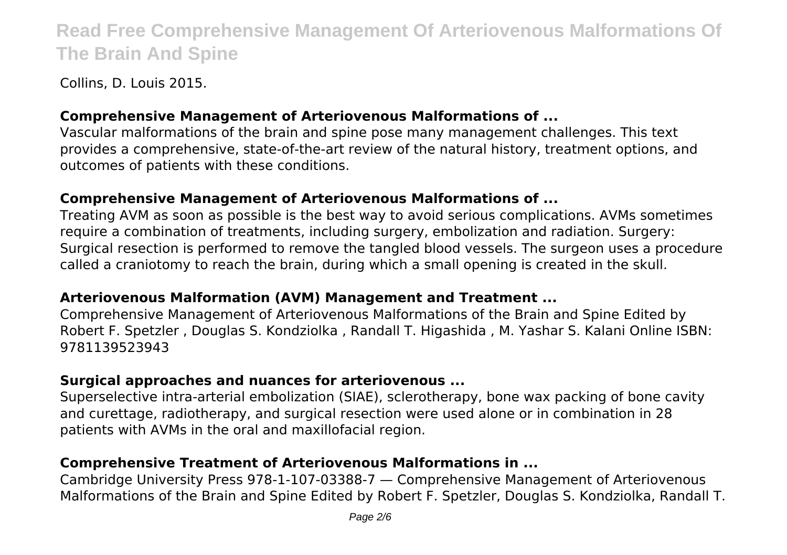Collins, D. Louis 2015.

#### **Comprehensive Management of Arteriovenous Malformations of ...**

Vascular malformations of the brain and spine pose many management challenges. This text provides a comprehensive, state-of-the-art review of the natural history, treatment options, and outcomes of patients with these conditions.

#### **Comprehensive Management of Arteriovenous Malformations of ...**

Treating AVM as soon as possible is the best way to avoid serious complications. AVMs sometimes require a combination of treatments, including surgery, embolization and radiation. Surgery: Surgical resection is performed to remove the tangled blood vessels. The surgeon uses a procedure called a craniotomy to reach the brain, during which a small opening is created in the skull.

#### **Arteriovenous Malformation (AVM) Management and Treatment ...**

Comprehensive Management of Arteriovenous Malformations of the Brain and Spine Edited by Robert F. Spetzler , Douglas S. Kondziolka , Randall T. Higashida , M. Yashar S. Kalani Online ISBN: 9781139523943

#### **Surgical approaches and nuances for arteriovenous ...**

Superselective intra-arterial embolization (SIAE), sclerotherapy, bone wax packing of bone cavity and curettage, radiotherapy, and surgical resection were used alone or in combination in 28 patients with AVMs in the oral and maxillofacial region.

#### **Comprehensive Treatment of Arteriovenous Malformations in ...**

Cambridge University Press 978-1-107-03388-7 — Comprehensive Management of Arteriovenous Malformations of the Brain and Spine Edited by Robert F. Spetzler, Douglas S. Kondziolka, Randall T.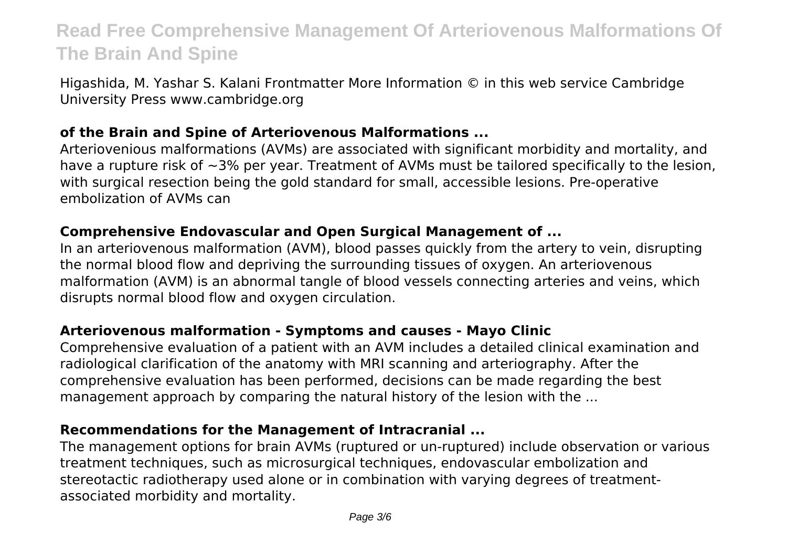Higashida, M. Yashar S. Kalani Frontmatter More Information © in this web service Cambridge University Press www.cambridge.org

#### **of the Brain and Spine of Arteriovenous Malformations ...**

Arteriovenious malformations (AVMs) are associated with significant morbidity and mortality, and have a rupture risk of ~3% per year. Treatment of AVMs must be tailored specifically to the lesion, with surgical resection being the gold standard for small, accessible lesions. Pre-operative embolization of AVMs can

#### **Comprehensive Endovascular and Open Surgical Management of ...**

In an arteriovenous malformation (AVM), blood passes quickly from the artery to vein, disrupting the normal blood flow and depriving the surrounding tissues of oxygen. An arteriovenous malformation (AVM) is an abnormal tangle of blood vessels connecting arteries and veins, which disrupts normal blood flow and oxygen circulation.

#### **Arteriovenous malformation - Symptoms and causes - Mayo Clinic**

Comprehensive evaluation of a patient with an AVM includes a detailed clinical examination and radiological clarification of the anatomy with MRI scanning and arteriography. After the comprehensive evaluation has been performed, decisions can be made regarding the best management approach by comparing the natural history of the lesion with the ...

#### **Recommendations for the Management of Intracranial ...**

The management options for brain AVMs (ruptured or un-ruptured) include observation or various treatment techniques, such as microsurgical techniques, endovascular embolization and stereotactic radiotherapy used alone or in combination with varying degrees of treatmentassociated morbidity and mortality.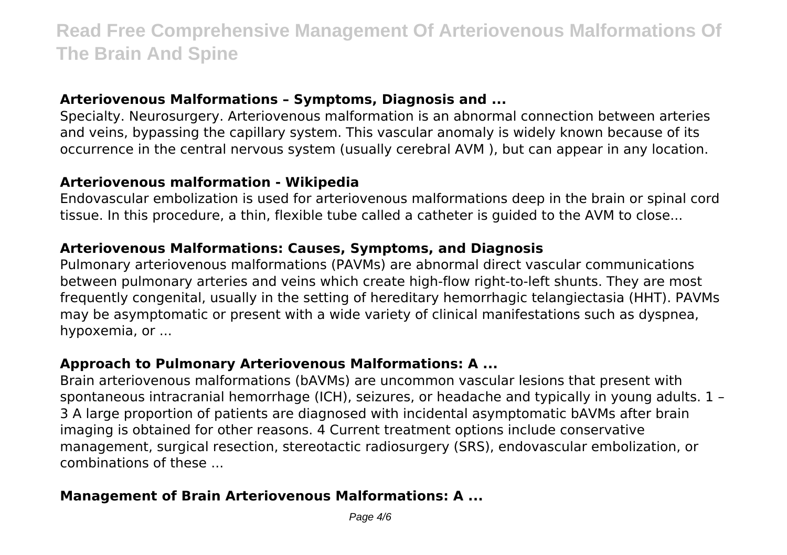#### **Arteriovenous Malformations – Symptoms, Diagnosis and ...**

Specialty. Neurosurgery. Arteriovenous malformation is an abnormal connection between arteries and veins, bypassing the capillary system. This vascular anomaly is widely known because of its occurrence in the central nervous system (usually cerebral AVM ), but can appear in any location.

#### **Arteriovenous malformation - Wikipedia**

Endovascular embolization is used for arteriovenous malformations deep in the brain or spinal cord tissue. In this procedure, a thin, flexible tube called a catheter is guided to the AVM to close...

#### **Arteriovenous Malformations: Causes, Symptoms, and Diagnosis**

Pulmonary arteriovenous malformations (PAVMs) are abnormal direct vascular communications between pulmonary arteries and veins which create high-flow right-to-left shunts. They are most frequently congenital, usually in the setting of hereditary hemorrhagic telangiectasia (HHT). PAVMs may be asymptomatic or present with a wide variety of clinical manifestations such as dyspnea, hypoxemia, or ...

#### **Approach to Pulmonary Arteriovenous Malformations: A ...**

Brain arteriovenous malformations (bAVMs) are uncommon vascular lesions that present with spontaneous intracranial hemorrhage (ICH), seizures, or headache and typically in young adults. 1 – 3 A large proportion of patients are diagnosed with incidental asymptomatic bAVMs after brain imaging is obtained for other reasons. 4 Current treatment options include conservative management, surgical resection, stereotactic radiosurgery (SRS), endovascular embolization, or combinations of these ...

#### **Management of Brain Arteriovenous Malformations: A ...**

Page  $4/6$